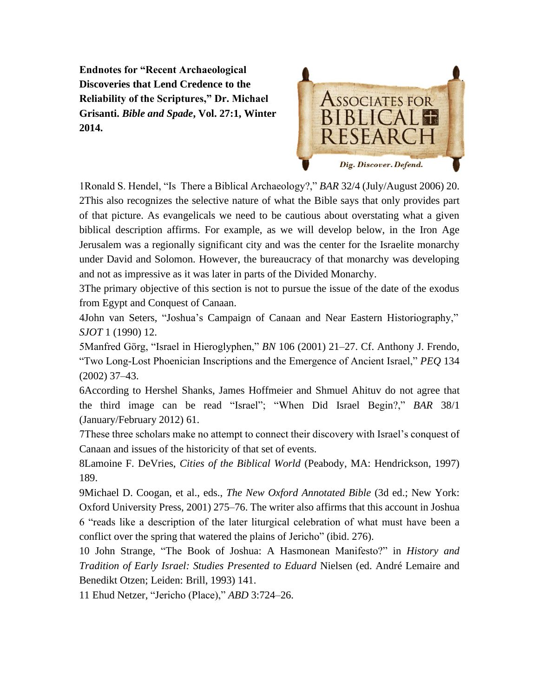**Endnotes for "Recent Archaeological Discoveries that Lend Credence to the Reliability of the Scriptures," Dr. Michael Grisanti.** *Bible and Spade***, Vol. 27:1, Winter 2014.**



1Ronald S. Hendel, "Is There a Biblical Archaeology?," *BAR* 32/4 (July/August 2006) 20. 2This also recognizes the selective nature of what the Bible says that only provides part of that picture. As evangelicals we need to be cautious about overstating what a given biblical description affirms. For example, as we will develop below, in the Iron Age Jerusalem was a regionally significant city and was the center for the Israelite monarchy under David and Solomon. However, the bureaucracy of that monarchy was developing and not as impressive as it was later in parts of the Divided Monarchy.

3The primary objective of this section is not to pursue the issue of the date of the exodus from Egypt and Conquest of Canaan.

4John van Seters, "Joshua's Campaign of Canaan and Near Eastern Historiography," *SJOT* 1 (1990) 12.

5Manfred Görg, "Israel in Hieroglyphen," *BN* 106 (2001) 21–27. Cf. Anthony J. Frendo, "Two Long-Lost Phoenician Inscriptions and the Emergence of Ancient Israel," *PEQ* 134 (2002) 37–43.

6According to Hershel Shanks, James Hoffmeier and Shmuel Ahituv do not agree that the third image can be read "Israel"; "When Did Israel Begin?," *BAR* 38/1 (January/February 2012) 61.

7These three scholars make no attempt to connect their discovery with Israel's conquest of Canaan and issues of the historicity of that set of events.

8Lamoine F. DeVries, *Cities of the Biblical World* (Peabody, MA: Hendrickson, 1997) 189.

9Michael D. Coogan, et al., eds., *The New Oxford Annotated Bible* (3d ed.; New York: Oxford University Press, 2001) 275–76. The writer also affirms that this account in Joshua 6 "reads like a description of the later liturgical celebration of what must have been a conflict over the spring that watered the plains of Jericho" (ibid. 276).

10 John Strange, "The Book of Joshua: A Hasmonean Manifesto?" in *History and Tradition of Early Israel: Studies Presented to Eduard* Nielsen (ed. André Lemaire and Benedikt Otzen; Leiden: Brill, 1993) 141.

11 Ehud Netzer, "Jericho (Place)," *ABD* 3:724–26.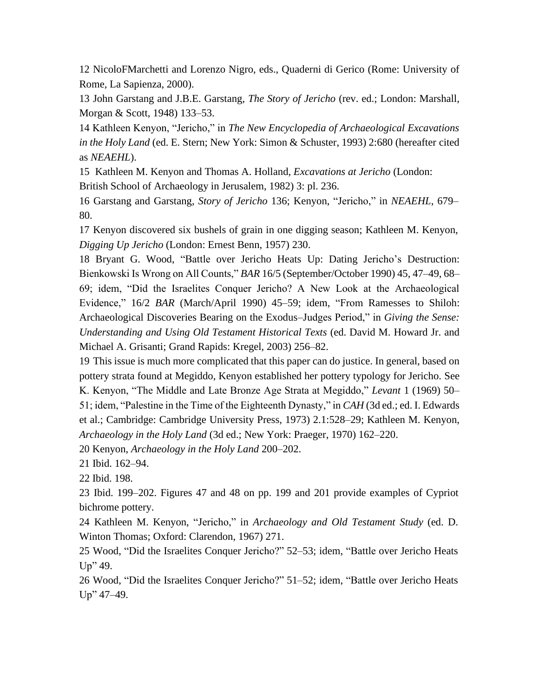12 NicoloFMarchetti and Lorenzo Nigro, eds., Quaderni di Gerico (Rome: University of Rome, La Sapienza, 2000).

13 John Garstang and J.B.E. Garstang, *The Story of Jericho* (rev. ed.; London: Marshall, Morgan & Scott, 1948) 133–53.

14 Kathleen Kenyon, "Jericho," in *The New Encyclopedia of Archaeological Excavations in the Holy Land* (ed. E. Stern; New York: Simon & Schuster, 1993) 2:680 (hereafter cited as *NEAEHL*).

15 Kathleen M. Kenyon and Thomas A. Holland, *Excavations at Jericho* (London: British School of Archaeology in Jerusalem, 1982) 3: pl. 236.

16 Garstang and Garstang, *Story of Jericho* 136; Kenyon, "Jericho," in *NEAEHL*, 679– 80.

17 Kenyon discovered six bushels of grain in one digging season; Kathleen M. Kenyon, *Digging Up Jericho* (London: Ernest Benn, 1957) 230.

18 Bryant G. Wood, "Battle over Jericho Heats Up: Dating Jericho's Destruction: Bienkowski Is Wrong on All Counts," *BAR* 16/5 (September/October 1990) 45, 47–49, 68– 69; idem, "Did the Israelites Conquer Jericho? A New Look at the Archaeological Evidence," 16/2 *BAR* (March/April 1990) 45–59; idem, "From Ramesses to Shiloh: Archaeological Discoveries Bearing on the Exodus–Judges Period," in *Giving the Sense: Understanding and Using Old Testament Historical Texts* (ed. David M. Howard Jr. and Michael A. Grisanti; Grand Rapids: Kregel, 2003) 256–82.

19 This issue is much more complicated that this paper can do justice. In general, based on pottery strata found at Megiddo, Kenyon established her pottery typology for Jericho. See K. Kenyon, "The Middle and Late Bronze Age Strata at Megiddo," *Levant* 1 (1969) 50– 51; idem, "Palestine in the Time of the Eighteenth Dynasty," in *CAH* (3d ed.; ed. I. Edwards et al.; Cambridge: Cambridge University Press, 1973) 2.1:528–29; Kathleen M. Kenyon, *Archaeology in the Holy Land* (3d ed.; New York: Praeger, 1970) 162–220.

20 Kenyon, *Archaeology in the Holy Land* 200–202.

21 Ibid. 162–94.

22 Ibid. 198.

23 Ibid. 199–202. Figures 47 and 48 on pp. 199 and 201 provide examples of Cypriot bichrome pottery.

24 Kathleen M. Kenyon, "Jericho," in *Archaeology and Old Testament Study* (ed. D. Winton Thomas; Oxford: Clarendon, 1967) 271.

25 Wood, "Did the Israelites Conquer Jericho?" 52–53; idem, "Battle over Jericho Heats Up" 49.

26 Wood, "Did the Israelites Conquer Jericho?" 51–52; idem, "Battle over Jericho Heats Up" 47–49.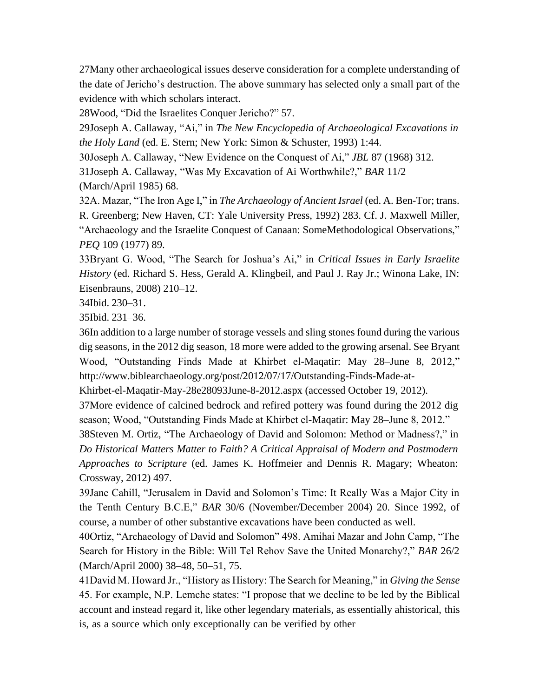27Many other archaeological issues deserve consideration for a complete understanding of the date of Jericho's destruction. The above summary has selected only a small part of the evidence with which scholars interact.

28Wood, "Did the Israelites Conquer Jericho?" 57.

29Joseph A. Callaway, "Ai," in *The New Encyclopedia of Archaeological Excavations in the Holy Land* (ed. E. Stern; New York: Simon & Schuster, 1993) 1:44.

30Joseph A. Callaway, "New Evidence on the Conquest of Ai," *JBL* 87 (1968) 312.

31Joseph A. Callaway, "Was My Excavation of Ai Worthwhile?," *BAR* 11/2 (March/April 1985) 68.

32A. Mazar, "The Iron Age I," in *The Archaeology of Ancient Israel* (ed. A. Ben-Tor; trans. R. Greenberg; New Haven, CT: Yale University Press, 1992) 283. Cf. J. Maxwell Miller, "Archaeology and the Israelite Conquest of Canaan: SomeMethodological Observations," *PEQ* 109 (1977) 89.

33Bryant G. Wood, "The Search for Joshua's Ai," in *Critical Issues in Early Israelite History* (ed. Richard S. Hess, Gerald A. Klingbeil, and Paul J. Ray Jr.; Winona Lake, IN: Eisenbrauns, 2008) 210–12.

34Ibid. 230–31.

35Ibid. 231–36.

36In addition to a large number of storage vessels and sling stones found during the various dig seasons, in the 2012 dig season, 18 more were added to the growing arsenal. See Bryant Wood, "Outstanding Finds Made at Khirbet el-Maqatir: May 28–June 8, 2012," <http://www.biblearchaeology.org/post/2012/07/17/Outstanding-Finds-Made-at->

Khirbet-el-Maqatir-May-28e28093June-8-2012.aspx (accessed October 19, 2012).

37More evidence of calcined bedrock and refired pottery was found during the 2012 dig season; Wood, "Outstanding Finds Made at Khirbet el-Maqatir: May 28–June 8, 2012."

38Steven M. Ortiz, "The Archaeology of David and Solomon: Method or Madness?," in *Do Historical Matters Matter to Faith? A Critical Appraisal of Modern and Postmodern Approaches to Scripture* (ed. James K. Hoffmeier and Dennis R. Magary; Wheaton: Crossway, 2012) 497.

39Jane Cahill, "Jerusalem in David and Solomon's Time: It Really Was a Major City in the Tenth Century B.C.E," *BAR* 30/6 (November/December 2004) 20. Since 1992, of course, a number of other substantive excavations have been conducted as well.

40Ortiz, "Archaeology of David and Solomon" 498. Amihai Mazar and John Camp, "The Search for History in the Bible: Will Tel Rehov Save the United Monarchy?," *BAR* 26/2 (March/April 2000) 38–48, 50–51, 75.

41David M. Howard Jr., "History as History: The Search for Meaning," in *Giving the Sense*  45. For example, N.P. Lemche states: "I propose that we decline to be led by the Biblical account and instead regard it, like other legendary materials, as essentially ahistorical, this is, as a source which only exceptionally can be verified by other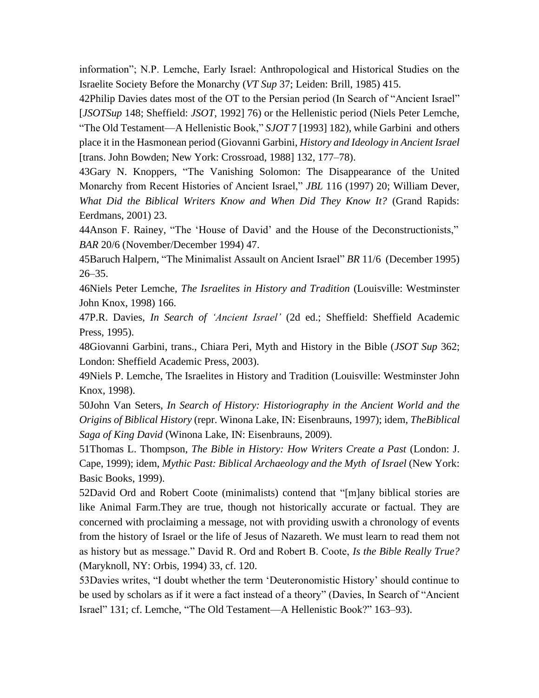information"; N.P. Lemche, Early Israel: Anthropological and Historical Studies on the Israelite Society Before the Monarchy (*VT Sup* 37; Leiden: Brill, 1985) 415.

42Philip Davies dates most of the OT to the Persian period (In Search of "Ancient Israel" [*JSOTSup* 148; Sheffield: *JSOT*, 1992] 76) or the Hellenistic period (Niels Peter Lemche, "The Old Testament—A Hellenistic Book," *SJOT* 7 [1993] 182), while Garbini and others place it in the Hasmonean period (Giovanni Garbini, *History and Ideology in Ancient Israel* [trans. John Bowden; New York: Crossroad, 1988] 132, 177–78).

43Gary N. Knoppers, "The Vanishing Solomon: The Disappearance of the United Monarchy from Recent Histories of Ancient Israel," *JBL* 116 (1997) 20; William Dever, *What Did the Biblical Writers Know and When Did They Know It?* (Grand Rapids: Eerdmans, 2001) 23.

44Anson F. Rainey, "The 'House of David' and the House of the Deconstructionists," *BAR* 20/6 (November/December 1994) 47.

45Baruch Halpern, "The Minimalist Assault on Ancient Israel" *BR* 11/6 (December 1995)  $26 - 35.$ 

46Niels Peter Lemche, *The Israelites in History and Tradition* (Louisville: Westminster John Knox, 1998) 166.

47P.R. Davies, *In Search of 'Ancient Israel'* (2d ed.; Sheffield: Sheffield Academic Press, 1995).

48Giovanni Garbini, trans., Chiara Peri, Myth and History in the Bible (*JSOT Sup* 362; London: Sheffield Academic Press, 2003).

49Niels P. Lemche, The Israelites in History and Tradition (Louisville: Westminster John Knox, 1998).

50John Van Seters, *In Search of History: Historiography in the Ancient World and the Origins of Biblical History* (repr. Winona Lake, IN: Eisenbrauns, 1997); idem, *TheBiblical Saga of King David* (Winona Lake, IN: Eisenbrauns, 2009).

51Thomas L. Thompson, *The Bible in History: How Writers Create a Past* (London: J. Cape, 1999); idem, *Mythic Past: Biblical Archaeology and the Myth of Israel* (New York: Basic Books, 1999).

52David Ord and Robert Coote (minimalists) contend that "[m]any biblical stories are like Animal Farm.They are true, though not historically accurate or factual. They are concerned with proclaiming a message, not with providing uswith a chronology of events from the history of Israel or the life of Jesus of Nazareth. We must learn to read them not as history but as message." David R. Ord and Robert B. Coote, *Is the Bible Really True?* (Maryknoll, NY: Orbis, 1994) 33, cf. 120.

53Davies writes, "I doubt whether the term 'Deuteronomistic History' should continue to be used by scholars as if it were a fact instead of a theory" (Davies, In Search of "Ancient Israel" 131; cf. Lemche, "The Old Testament—A Hellenistic Book?" 163–93).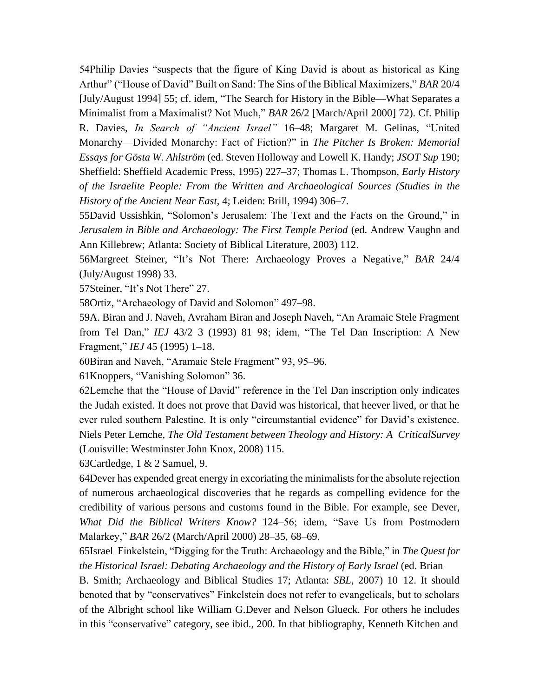54Philip Davies "suspects that the figure of King David is about as historical as King Arthur" ("House of David" Built on Sand: The Sins of the Biblical Maximizers," *BAR* 20/4 [July/August 1994] 55; cf. idem, "The Search for History in the Bible—What Separates a Minimalist from a Maximalist? Not Much," *BAR* 26/2 [March/April 2000] 72). Cf. Philip R. Davies, *In Search of "Ancient Israel"* 16–48; Margaret M. Gelinas, "United Monarchy—Divided Monarchy: Fact of Fiction?" in *The Pitcher Is Broken: Memorial Essays for Gösta W. Ahlström* (ed. Steven Holloway and Lowell K. Handy; *JSOT Sup* 190; Sheffield: Sheffield Academic Press, 1995) 227–37; Thomas L. Thompson, *Early History of the Israelite People: From the Written and Archaeological Sources (Studies in the History of the Ancient Near East*, 4; Leiden: Brill, 1994) 306–7.

55David Ussishkin, "Solomon's Jerusalem: The Text and the Facts on the Ground," in *Jerusalem in Bible and Archaeology: The First Temple Period (ed. Andrew Vaughn and* Ann Killebrew; Atlanta: Society of Biblical Literature, 2003) 112.

56Margreet Steiner, "It's Not There: Archaeology Proves a Negative," *BAR* 24/4 (July/August 1998) 33.

57Steiner, "It's Not There" 27.

58Ortiz, "Archaeology of David and Solomon" 497–98.

59A. Biran and J. Naveh, Avraham Biran and Joseph Naveh, "An Aramaic Stele Fragment from Tel Dan," *IEJ* 43/2–3 (1993) 81–98; idem, "The Tel Dan Inscription: A New Fragment," *IEJ* 45 (1995) 1–18.

60Biran and Naveh, "Aramaic Stele Fragment" 93, 95–96.

61Knoppers, "Vanishing Solomon" 36.

62Lemche that the "House of David" reference in the Tel Dan inscription only indicates the Judah existed. It does not prove that David was historical, that heever lived, or that he ever ruled southern Palestine. It is only "circumstantial evidence" for David's existence. Niels Peter Lemche, *The Old Testament between Theology and History: A CriticalSurvey* (Louisville: Westminster John Knox, 2008) 115.

63Cartledge, 1 & 2 Samuel, 9.

64Dever has expended great energy in excoriating the minimalists for the absolute rejection of numerous archaeological discoveries that he regards as compelling evidence for the credibility of various persons and customs found in the Bible. For example, see Dever, *What Did the Biblical Writers Know?* 124–56; idem, "Save Us from Postmodern Malarkey," *BAR* 26/2 (March/April 2000) 28–35, 68–69.

65Israel Finkelstein, "Digging for the Truth: Archaeology and the Bible," in *The Quest for the Historical Israel: Debating Archaeology and the History of Early Israel* (ed. Brian

B. Smith; Archaeology and Biblical Studies 17; Atlanta: *SBL*, 2007) 10–12. It should benoted that by "conservatives" Finkelstein does not refer to evangelicals, but to scholars of the Albright school like William G.Dever and Nelson Glueck. For others he includes in this "conservative" category, see ibid., 200. In that bibliography, Kenneth Kitchen and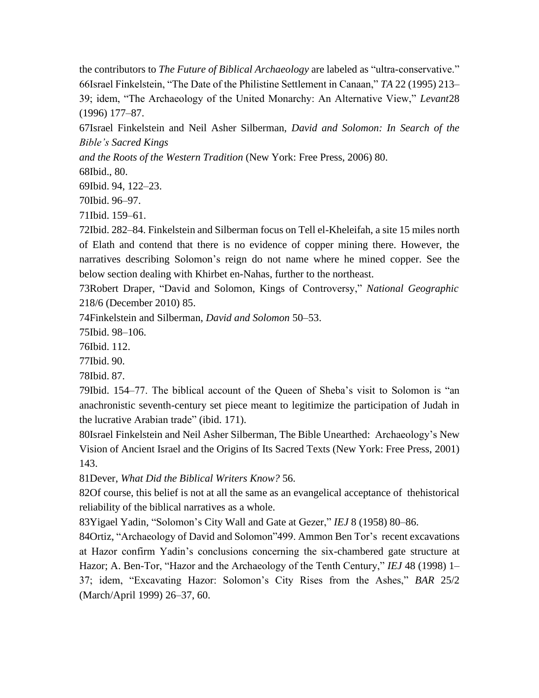the contributors to *The Future of Biblical Archaeology* are labeled as "ultra-conservative." 66Israel Finkelstein, "The Date of the Philistine Settlement in Canaan," *TA* 22 (1995) 213– 39; idem, "The Archaeology of the United Monarchy: An Alternative View," *Levant*28 (1996) 177–87.

67Israel Finkelstein and Neil Asher Silberman, *David and Solomon: In Search of the Bible's Sacred Kings*

*and the Roots of the Western Tradition* (New York: Free Press, 2006) 80.

68Ibid., 80.

69Ibid. 94, 122–23.

70Ibid. 96–97.

71Ibid. 159–61.

72Ibid. 282–84. Finkelstein and Silberman focus on Tell el-Kheleifah, a site 15 miles north of Elath and contend that there is no evidence of copper mining there. However, the narratives describing Solomon's reign do not name where he mined copper. See the below section dealing with Khirbet en-Nahas, further to the northeast.

73Robert Draper, "David and Solomon, Kings of Controversy," *National Geographic* 218/6 (December 2010) 85.

74Finkelstein and Silberman, *David and Solomon* 50–53.

75Ibid. 98–106.

76Ibid. 112.

77Ibid. 90.

78Ibid. 87.

79Ibid. 154–77. The biblical account of the Queen of Sheba's visit to Solomon is "an anachronistic seventh-century set piece meant to legitimize the participation of Judah in the lucrative Arabian trade" (ibid. 171).

80Israel Finkelstein and Neil Asher Silberman, The Bible Unearthed: Archaeology's New Vision of Ancient Israel and the Origins of Its Sacred Texts (New York: Free Press, 2001) 143.

81Dever, *What Did the Biblical Writers Know?* 56.

82Of course, this belief is not at all the same as an evangelical acceptance of thehistorical reliability of the biblical narratives as a whole.

83Yigael Yadin, "Solomon's City Wall and Gate at Gezer," *IEJ* 8 (1958) 80–86.

84Ortiz, "Archaeology of David and Solomon"499. Ammon Ben Tor's recent excavations at Hazor confirm Yadin's conclusions concerning the six-chambered gate structure at Hazor; A. Ben-Tor, "Hazor and the Archaeology of the Tenth Century," *IEJ* 48 (1998) 1– 37; idem, "Excavating Hazor: Solomon's City Rises from the Ashes," *BAR* 25/2 (March/April 1999) 26–37, 60.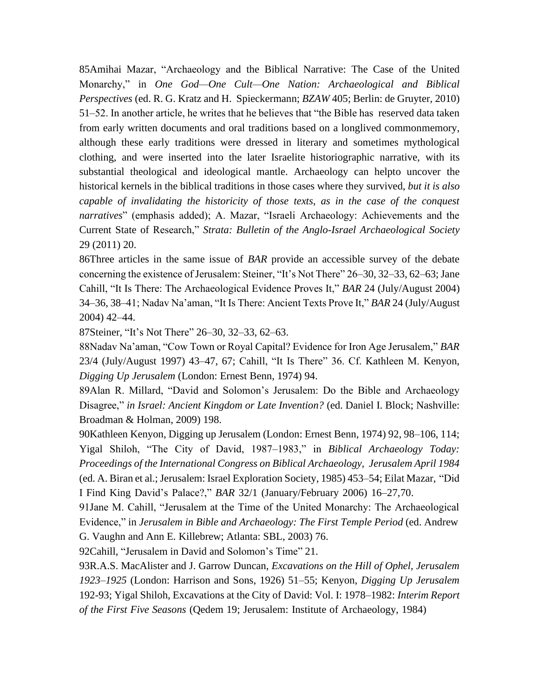85Amihai Mazar, "Archaeology and the Biblical Narrative: The Case of the United Monarchy," in *One God—One Cult—One Nation: Archaeological and Biblical Perspectives* (ed. R. G. Kratz and H. Spieckermann; *BZAW* 405; Berlin: de Gruyter, 2010) 51–52. In another article, he writes that he believes that "the Bible has reserved data taken from early written documents and oral traditions based on a longlived commonmemory, although these early traditions were dressed in literary and sometimes mythological clothing, and were inserted into the later Israelite historiographic narrative, with its substantial theological and ideological mantle. Archaeology can helpto uncover the historical kernels in the biblical traditions in those cases where they survived, *but it is also capable of invalidating the historicity of those texts, as in the case of the conquest narratives*" (emphasis added); A. Mazar, "Israeli Archaeology: Achievements and the Current State of Research," *Strata: Bulletin of the Anglo-Israel Archaeological Society* 29 (2011) 20.

86Three articles in the same issue of *BAR* provide an accessible survey of the debate concerning the existence of Jerusalem: Steiner, "It's Not There" 26–30, 32–33, 62–63; Jane Cahill, "It Is There: The Archaeological Evidence Proves It," *BAR* 24 (July/August 2004) 34–36, 38–41; Nadav Na'aman, "It Is There: Ancient Texts Prove It," *BAR* 24 (July/August 2004) 42–44.

87Steiner, "It's Not There" 26–30, 32–33, 62–63.

88Nadav Na'aman, "Cow Town or Royal Capital? Evidence for Iron Age Jerusalem," *BAR*  23/4 (July/August 1997) 43–47, 67; Cahill, "It Is There" 36. Cf. Kathleen M. Kenyon, *Digging Up Jerusalem* (London: Ernest Benn, 1974) 94.

89Alan R. Millard, "David and Solomon's Jerusalem: Do the Bible and Archaeology Disagree," *in Israel: Ancient Kingdom or Late Invention?* (ed. Daniel I. Block; Nashville: Broadman & Holman, 2009) 198.

90Kathleen Kenyon, Digging up Jerusalem (London: Ernest Benn, 1974) 92, 98–106, 114; Yigal Shiloh, "The City of David, 1987–1983," in *Biblical Archaeology Today: Proceedings of the International Congress on Biblical Archaeology, Jerusalem April 1984*  (ed. A. Biran et al.; Jerusalem: Israel Exploration Society, 1985) 453–54; Eilat Mazar, "Did I Find King David's Palace?," *BAR* 32/1 (January/February 2006) 16–27,70.

91Jane M. Cahill, "Jerusalem at the Time of the United Monarchy: The Archaeological Evidence," in *Jerusalem in Bible and Archaeology: The First Temple Period* (ed. Andrew G. Vaughn and Ann E. Killebrew; Atlanta: SBL, 2003) 76.

92Cahill, "Jerusalem in David and Solomon's Time" 21.

93R.A.S. MacAlister and J. Garrow Duncan, *Excavations on the Hill of Ophel, Jerusalem 1923–1925* (London: Harrison and Sons, 1926) 51–55; Kenyon, *Digging Up Jerusalem* 192-93; Yigal Shiloh, Excavations at the City of David: Vol. I: 1978–1982: *Interim Report of the First Five Seasons* (Qedem 19; Jerusalem: Institute of Archaeology, 1984)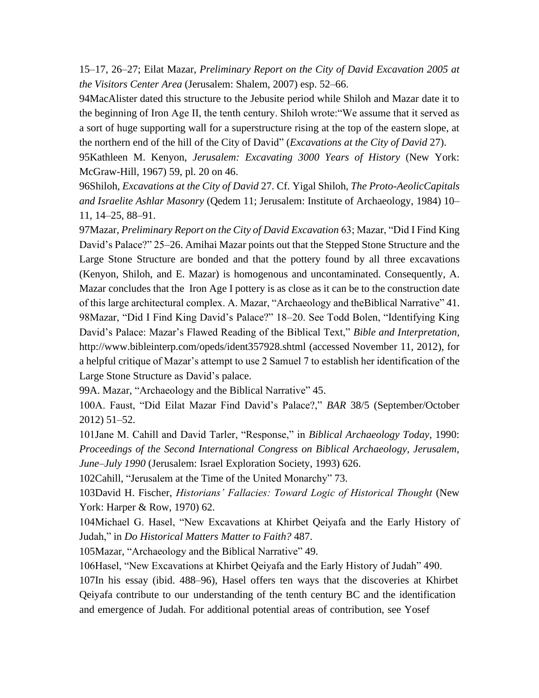15–17, 26–27; Eilat Mazar, *Preliminary Report on the City of David Excavation 2005 at the Visitors Center Area* (Jerusalem: Shalem, 2007) esp. 52–66.

94MacAlister dated this structure to the Jebusite period while Shiloh and Mazar date it to the beginning of Iron Age II, the tenth century. Shiloh wrote:"We assume that it served as a sort of huge supporting wall for a superstructure rising at the top of the eastern slope, at the northern end of the hill of the City of David" (*Excavations at the City of David* 27).

95Kathleen M. Kenyon, *Jerusalem: Excavating 3000 Years of History* (New York: McGraw-Hill, 1967) 59, pl. 20 on 46.

96Shiloh, *Excavations at the City of David* 27. Cf. Yigal Shiloh, *The Proto-AeolicCapitals and Israelite Ashlar Masonry* (Qedem 11; Jerusalem: Institute of Archaeology, 1984) 10– 11, 14–25, 88–91.

97Mazar, *Preliminary Report on the City of David Excavation* 63; Mazar, "Did I Find King David's Palace?" 25–26. Amihai Mazar points out that the Stepped Stone Structure and the Large Stone Structure are bonded and that the pottery found by all three excavations (Kenyon, Shiloh, and E. Mazar) is homogenous and uncontaminated. Consequently, A. Mazar concludes that the Iron Age I pottery is as close as it can be to the construction date of this large architectural complex. A. Mazar, "Archaeology and theBiblical Narrative" 41. 98Mazar, "Did I Find King David's Palace?" 18–20. See Todd Bolen, "Identifying King David's Palace: Mazar's Flawed Reading of the Biblical Text," *Bible and Interpretation*, [http://www.bibleinterp.com/opeds/ident357928.shtml \(](http://www.bibleinterp.com/opeds/ident357928.shtml)accessed November 11, 2012), for a helpful critique of Mazar's attempt to use 2 Samuel 7 to establish her identification of the Large Stone Structure as David's palace.

99A. Mazar, "Archaeology and the Biblical Narrative" 45.

100A. Faust, "Did Eilat Mazar Find David's Palace?," *BAR* 38/5 (September/October 2012) 51–52.

101Jane M. Cahill and David Tarler, "Response," in *Biblical Archaeology Today*, 1990: *Proceedings of the Second International Congress on Biblical Archaeology, Jerusalem, June–July 1990* (Jerusalem: Israel Exploration Society, 1993) 626.

102Cahill, "Jerusalem at the Time of the United Monarchy" 73.

103David H. Fischer, *Historians' Fallacies: Toward Logic of Historical Thought* (New York: Harper & Row, 1970) 62.

104Michael G. Hasel, "New Excavations at Khirbet Qeiyafa and the Early History of Judah," in *Do Historical Matters Matter to Faith?* 487.

105Mazar, "Archaeology and the Biblical Narrative" 49.

106Hasel, "New Excavations at Khirbet Qeiyafa and the Early History of Judah" 490.

107In his essay (ibid. 488–96), Hasel offers ten ways that the discoveries at Khirbet Qeiyafa contribute to our understanding of the tenth century BC and the identification and emergence of Judah. For additional potential areas of contribution, see Yosef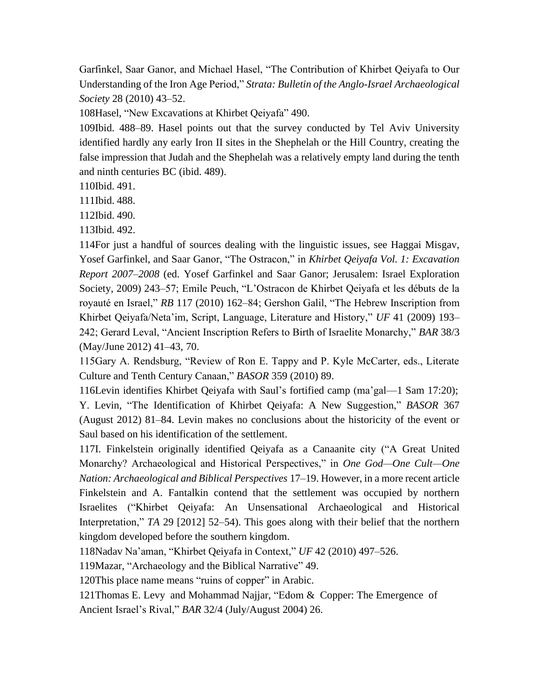Garfinkel, Saar Ganor, and Michael Hasel, "The Contribution of Khirbet Qeiyafa to Our Understanding of the Iron Age Period," *Strata: Bulletin of the Anglo-Israel Archaeological Society* 28 (2010) 43–52.

108Hasel, "New Excavations at Khirbet Qeiyafa" 490.

109Ibid. 488–89. Hasel points out that the survey conducted by Tel Aviv University identified hardly any early Iron II sites in the Shephelah or the Hill Country, creating the false impression that Judah and the Shephelah was a relatively empty land during the tenth and ninth centuries BC (ibid. 489).

110Ibid. 491.

111Ibid. 488.

112Ibid. 490.

113Ibid. 492.

114For just a handful of sources dealing with the linguistic issues, see Haggai Misgav, Yosef Garfinkel, and Saar Ganor, "The Ostracon," in *Khirbet Qeiyafa Vol. 1: Excavation Report 2007–2008* (ed. Yosef Garfinkel and Saar Ganor; Jerusalem: Israel Exploration Society, 2009) 243–57; Emile Peuch, "L'Ostracon de Khirbet Qeiyafa et les débuts de la royauté en Israel," *RB* 117 (2010) 162–84; Gershon Galil, "The Hebrew Inscription from Khirbet Qeiyafa/Neta'im, Script, Language, Literature and History," *UF* 41 (2009) 193– 242; Gerard Leval, "Ancient Inscription Refers to Birth of Israelite Monarchy," *BAR* 38/3 (May/June 2012) 41–43, 70.

115Gary A. Rendsburg, "Review of Ron E. Tappy and P. Kyle McCarter, eds., Literate Culture and Tenth Century Canaan," *BASOR* 359 (2010) 89.

116Levin identifies Khirbet Qeiyafa with Saul's fortified camp (ma'gal—1 Sam 17:20); Y. Levin, "The Identification of Khirbet Qeiyafa: A New Suggestion," *BASOR* 367 (August 2012) 81–84. Levin makes no conclusions about the historicity of the event or Saul based on his identification of the settlement.

117I. Finkelstein originally identified Qeiyafa as a Canaanite city ("A Great United Monarchy? Archaeological and Historical Perspectives," in *One God—One Cult—One Nation: Archaeological and Biblical Perspectives* 17–19. However, in a more recent article Finkelstein and A. Fantalkin contend that the settlement was occupied by northern Israelites ("Khirbet Qeiyafa: An Unsensational Archaeological and Historical Interpretation," *TA* 29 [2012] 52–54). This goes along with their belief that the northern kingdom developed before the southern kingdom.

118Nadav Na'aman, "Khirbet Qeiyafa in Context," *UF* 42 (2010) 497–526.

119Mazar, "Archaeology and the Biblical Narrative" 49.

120This place name means "ruins of copper" in Arabic.

121Thomas E. Levy and Mohammad Najjar, "Edom & Copper: The Emergence of Ancient Israel's Rival," *BAR* 32/4 (July/August 2004) 26.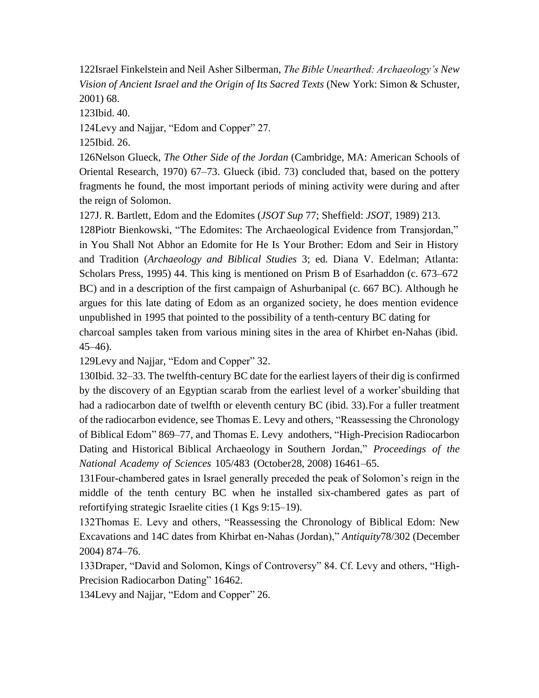122Israel Finkelstein and Neil Asher Silberman, *The Bible Unearthed: Archaeology's New Vision of Ancient Israel and the Origin of Its Sacred Texts* (New York: Simon & Schuster, 2001) 68.

123Ibid. 40.

124Levy and Najjar, "Edom and Copper" 27.

125Ibid. 26.

126Nelson Glueck, *The Other Side of the Jordan* (Cambridge, MA: American Schools of Oriental Research, 1970) 67–73. Glueck (ibid. 73) concluded that, based on the pottery fragments he found, the most important periods of mining activity were during and after the reign of Solomon.

127J. R. Bartlett, Edom and the Edomites (*JSOT Sup* 77; Sheffield: *JSOT*, 1989) 213.

128Piotr Bienkowski, "The Edomites: The Archaeological Evidence from Transjordan," in You Shall Not Abhor an Edomite for He Is Your Brother: Edom and Seir in History and Tradition (*Archaeology and Biblical Studies* 3; ed. Diana V. Edelman; Atlanta: Scholars Press, 1995) 44. This king is mentioned on Prism B of Esarhaddon (c. 673–672 BC) and in a description of the first campaign of Ashurbanipal (c. 667 BC). Although he argues for this late dating of Edom as an organized society, he does mention evidence unpublished in 1995 that pointed to the possibility of a tenth-century BC dating for charcoal samples taken from various mining sites in the area of Khirbet en-Nahas (ibid. 45–46).

129Levy and Najjar, "Edom and Copper" 32.

130Ibid. 32–33. The twelfth-century BC date for the earliest layers of their dig is confirmed by the discovery of an Egyptian scarab from the earliest level of a worker'sbuilding that had a radiocarbon date of twelfth or eleventh century BC (ibid. 33).For a fuller treatment of the radiocarbon evidence, see Thomas E. Levy and others, "Reassessing the Chronology of Biblical Edom" 869–77, and Thomas E. Levy andothers, "High-Precision Radiocarbon Dating and Historical Biblical Archaeology in Southern Jordan," *Proceedings of the National Academy of Sciences* 105/483 (October28, 2008) 16461–65.

131Four-chambered gates in Israel generally preceded the peak of Solomon's reign in the middle of the tenth century BC when he installed six-chambered gates as part of refortifying strategic Israelite cities (1 Kgs 9:15–19).

132Thomas E. Levy and others, "Reassessing the Chronology of Biblical Edom: New Excavations and 14C dates from Khirbat en-Nahas (Jordan)," *Antiquity*78/302 (December 2004) 874–76.

133Draper, "David and Solomon, Kings of Controversy" 84. Cf. Levy and others, "High-Precision Radiocarbon Dating" 16462.

134Levy and Najjar, "Edom and Copper" 26.